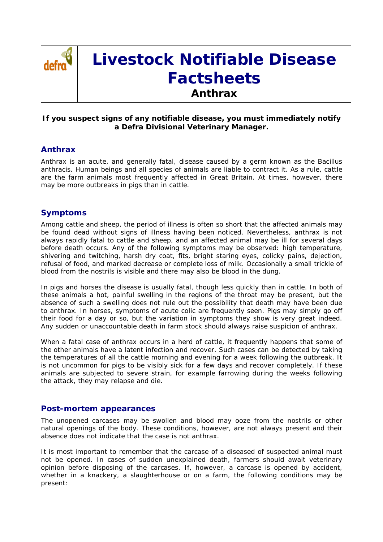

# **Livestock Notifiable Disease Factsheets Anthrax**

### **If you suspect signs of any notifiable disease, you must immediately notify a Defra Divisional Veterinary Manager.**

## **Anthrax**

Anthrax is an acute, and generally fatal, disease caused by a germ known as the *Bacillus anthracis*. Human beings and all species of animals are liable to contract it. As a rule, cattle are the farm animals most frequently affected in Great Britain. At times, however, there may be more outbreaks in pigs than in cattle.

## **Symptoms**

Among cattle and sheep, the period of illness is often so short that the affected animals may be found dead without signs of illness having been noticed. Nevertheless, anthrax is not always rapidly fatal to cattle and sheep, and an affected animal may be ill for several days before death occurs. Any of the following symptoms may be observed: high temperature, shivering and twitching, harsh dry coat, fits, bright staring eyes, colicky pains, dejection, refusal of food, and marked decrease or complete loss of milk. Occasionally a small trickle of blood from the nostrils is visible and there may also be blood in the dung.

In pigs and horses the disease is usually fatal, though less quickly than in cattle. In both of these animals a hot, painful swelling in the regions of the throat may be present, but the absence of such a swelling does not rule out the possibility that death may have been due to anthrax. In horses, symptoms of acute colic are frequently seen. Pigs may simply go off their food for a day or so, but the variation in symptoms they show is very great indeed. Any sudden or unaccountable death in farm stock should always raise suspicion of anthrax.

When a fatal case of anthrax occurs in a herd of cattle, it frequently happens that some of the other animals have a latent infection and recover. Such cases can be detected by taking the temperatures of all the cattle morning and evening for a week following the outbreak. It is not uncommon for pigs to be visibly sick for a few days and recover completely. If these animals are subjected to severe strain, for example farrowing during the weeks following the attack, they may relapse and die.

#### **Post-mortem appearances**

The unopened carcases may be swollen and blood may ooze from the nostrils or other natural openings of the body. These conditions, however, are not always present and their absence does not indicate that the case is not anthrax.

It is most important to remember that the carcase of a diseased of suspected animal must not be opened. In cases of sudden unexplained death, farmers should await veterinary opinion before disposing of the carcases. If, however, a carcase is opened by accident, whether in a knackery, a slaughterhouse or on a farm, the following conditions may be present: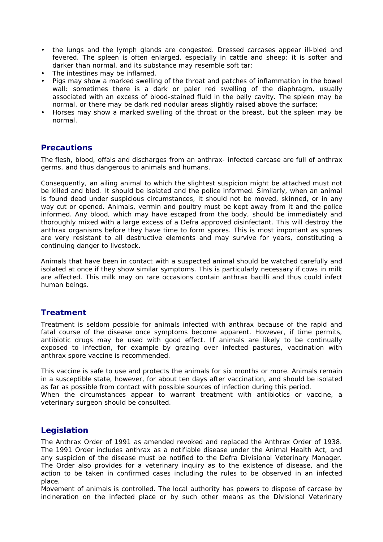- the lungs and the lymph glands are congested. Dressed carcases appear ill-bled and fevered. The spleen is often enlarged, especially in cattle and sheep; it is softer and darker than normal, and its substance may resemble soft tar;
- The intestines may be inflamed.
- Pigs may show a marked swelling of the throat and patches of inflammation in the bowel wall: sometimes there is a dark or paler red swelling of the diaphragm, usually associated with an excess of blood-stained fluid in the belly cavity. The spleen may be normal, or there may be dark red nodular areas slightly raised above the surface;
- Horses may show a marked swelling of the throat or the breast, but the spleen may be normal.

#### **Precautions**

The flesh, blood, offals and discharges from an anthrax- infected carcase are full of anthrax germs, and thus dangerous to animals and humans.

Consequently, an ailing animal to which the slightest suspicion might be attached must not be killed and bled. It should be isolated and the police informed. Similarly, when an animal is found dead under suspicious circumstances, it should not be moved, skinned, or in any way cut or opened. Animals, vermin and poultry must be kept away from it and the police informed. Any blood, which may have escaped from the body, should be immediately and thoroughly mixed with a large excess of a Defra approved disinfectant. This will destroy the anthrax organisms before they have time to form spores. This is most important as spores are very resistant to all destructive elements and may survive for years, constituting a continuing danger to livestock.

Animals that have been in contact with a suspected animal should be watched carefully and isolated at once if they show similar symptoms. This is particularly necessary if cows in milk are affected. This milk may on rare occasions contain anthrax bacilli and thus could infect human beings.

# **Treatment**

Treatment is seldom possible for animals infected with anthrax because of the rapid and fatal course of the disease once symptoms become apparent. However, if time permits, antibiotic drugs may be used with good effect. If animals are likely to be continually exposed to infection, for example by grazing over infected pastures, vaccination with anthrax spore vaccine is recommended.

This vaccine is safe to use and protects the animals for six months or more. Animals remain in a susceptible state, however, for about ten days after vaccination, and should be isolated as far as possible from contact with possible sources of infection during this period.

When the circumstances appear to warrant treatment with antibiotics or vaccine, a veterinary surgeon should be consulted.

# **Legislation**

The Anthrax Order of 1991 as amended revoked and replaced the Anthrax Order of 1938. The 1991 Order includes anthrax as a notifiable disease under the Animal Health Act, and any suspicion of the disease must be notified to the Defra Divisional Veterinary Manager. The Order also provides for a veterinary inquiry as to the existence of disease, and the action to be taken in confirmed cases including the rules to be observed in an infected place.

Movement of animals is controlled. The local authority has powers to dispose of carcase by incineration on the infected place or by such other means as the Divisional Veterinary